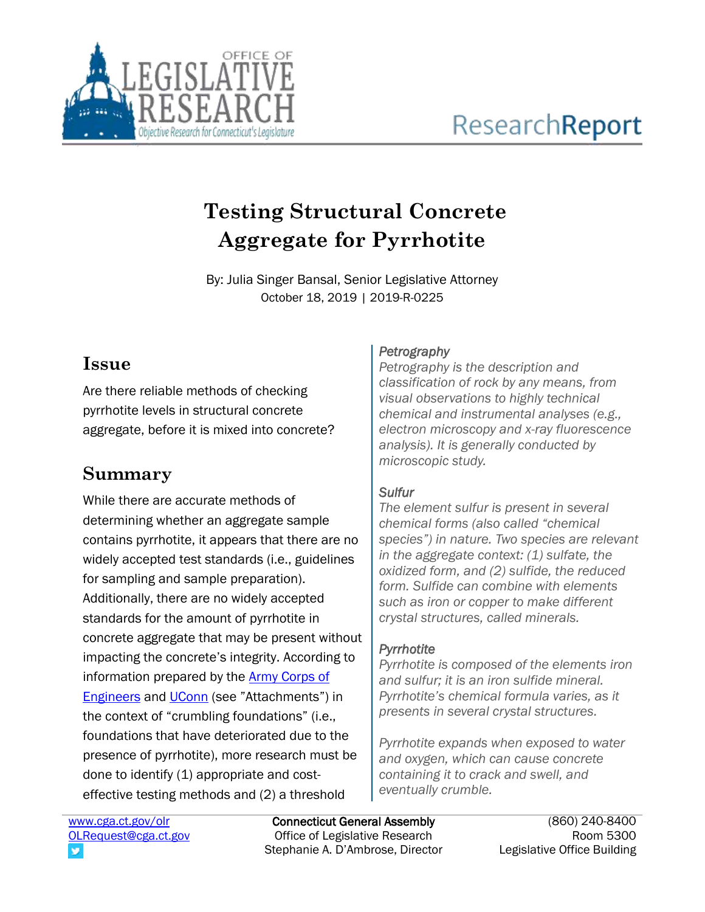

# **Testing Structural Concrete Aggregate for Pyrrhotite**

By: Julia Singer Bansal, Senior Legislative Attorney October 18, 2019 | 2019-R-0225

### **Issue**

Are there reliable methods of checking pyrrhotite levels in structural concrete aggregate, before it is mixed into concrete?

# **Summary**

While there are accurate methods of determining whether an aggregate sample contains pyrrhotite, it appears that there are no widely accepted test standards (i.e., guidelines for sampling and sample preparation). Additionally, there are no widely accepted standards for the amount of pyrrhotite in concrete aggregate that may be present without impacting the concrete's integrity. According to information prepared by the **Army Corps of [Engineers](https://www.cga.ct.gov/2019/rpt/pdf/2019-R-0225-Attach2-Path%20Forward%20on%20Pyrrhotite-Technical.pdf) and [UConn](https://www.cga.ct.gov/2019/rpt/pdf/2019-R-0225-Attach1-UConn.pdf)** (see "Attachments") in the context of "crumbling foundations" (i.e., foundations that have deteriorated due to the presence of pyrrhotite), more research must be done to identify (1) appropriate and costeffective testing methods and (2) a threshold

#### *Petrography*

*Petrography is the description and classification of rock by any means, from visual observations to highly technical chemical and instrumental analyses (e.g., electron microscopy and x-ray fluorescence analysis). It is generally conducted by microscopic study.*

#### *Sulfur*

*The element sulfur is present in several chemical forms (also called "chemical species") in nature. Two species are relevant in the aggregate context: (1) sulfate, the oxidized form, and (2) sulfide, the reduced form. Sulfide can combine with elements such as iron or copper to make different crystal structures, called minerals.* 

#### *Pyrrhotite*

*Pyrrhotite is composed of the elements iron and sulfur; it is an iron sulfide mineral. Pyrrhotite's chemical formula varies, as it presents in several crystal structures.*

*Pyrrhotite expands when exposed to water and oxygen, which can cause concrete containing it to crack and swell, and eventually crumble.*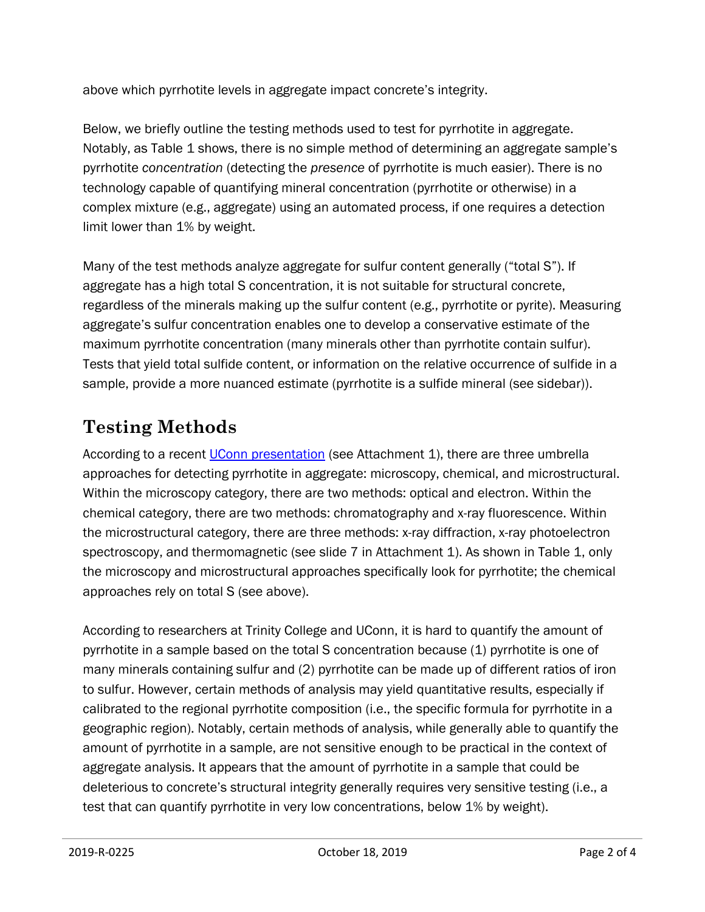above which pyrrhotite levels in aggregate impact concrete's integrity.

Below, we briefly outline the testing methods used to test for pyrrhotite in aggregate. Notably, as Table 1 shows, there is no simple method of determining an aggregate sample's pyrrhotite *concentration* (detecting the *presence* of pyrrhotite is much easier). There is no technology capable of quantifying mineral concentration (pyrrhotite or otherwise) in a complex mixture (e.g., aggregate) using an automated process, if one requires a detection limit lower than 1% by weight.

Many of the test methods analyze aggregate for sulfur content generally ("total S"). If aggregate has a high total S concentration, it is not suitable for structural concrete, regardless of the minerals making up the sulfur content (e.g., pyrrhotite or pyrite). Measuring aggregate's sulfur concentration enables one to develop a conservative estimate of the maximum pyrrhotite concentration (many minerals other than pyrrhotite contain sulfur). Tests that yield total sulfide content, or information on the relative occurrence of sulfide in a sample, provide a more nuanced estimate (pyrrhotite is a sulfide mineral (see sidebar)).

## **Testing Methods**

According to a recent [UConn presentation](https://www.cga.ct.gov/2019/rpt/pdf/2019-R-0225-Attach1-UConn.pdf) (see Attachment 1), there are three umbrella approaches for detecting pyrrhotite in aggregate: microscopy, chemical, and microstructural. Within the microscopy category, there are two methods: optical and electron. Within the chemical category, there are two methods: chromatography and x-ray fluorescence. Within the microstructural category, there are three methods: x-ray diffraction, x-ray photoelectron spectroscopy, and thermomagnetic (see slide 7 in Attachment 1). As shown in Table 1, only the microscopy and microstructural approaches specifically look for pyrrhotite; the chemical approaches rely on total S (see above).

According to researchers at Trinity College and UConn, it is hard to quantify the amount of pyrrhotite in a sample based on the total S concentration because (1) pyrrhotite is one of many minerals containing sulfur and (2) pyrrhotite can be made up of different ratios of iron to sulfur. However, certain methods of analysis may yield quantitative results, especially if calibrated to the regional pyrrhotite composition (i.e., the specific formula for pyrrhotite in a geographic region). Notably, certain methods of analysis, while generally able to quantify the amount of pyrrhotite in a sample, are not sensitive enough to be practical in the context of aggregate analysis. It appears that the amount of pyrrhotite in a sample that could be deleterious to concrete's structural integrity generally requires very sensitive testing (i.e., a test that can quantify pyrrhotite in very low concentrations, below 1% by weight).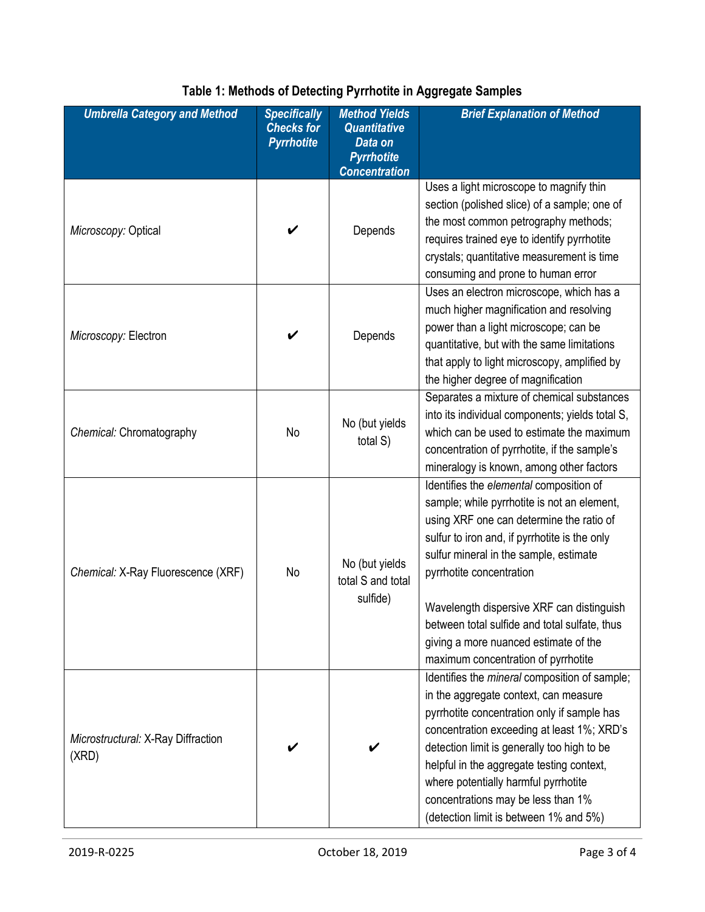| <b>Umbrella Category and Method</b>         | <b>Specifically</b><br><b>Checks for</b><br><b>Pyrrhotite</b> | <b>Method Yields</b><br><b>Quantitative</b><br>Data on<br><b>Pyrrhotite</b><br><b>Concentration</b> | <b>Brief Explanation of Method</b>                                                                                                                                                                                                                                                                                                                                                                                                      |
|---------------------------------------------|---------------------------------------------------------------|-----------------------------------------------------------------------------------------------------|-----------------------------------------------------------------------------------------------------------------------------------------------------------------------------------------------------------------------------------------------------------------------------------------------------------------------------------------------------------------------------------------------------------------------------------------|
| Microscopy: Optical                         |                                                               | Depends                                                                                             | Uses a light microscope to magnify thin<br>section (polished slice) of a sample; one of<br>the most common petrography methods;<br>requires trained eye to identify pyrrhotite<br>crystals; quantitative measurement is time<br>consuming and prone to human error                                                                                                                                                                      |
| Microscopy: Electron                        |                                                               | Depends                                                                                             | Uses an electron microscope, which has a<br>much higher magnification and resolving<br>power than a light microscope; can be<br>quantitative, but with the same limitations<br>that apply to light microscopy, amplified by<br>the higher degree of magnification                                                                                                                                                                       |
| Chemical: Chromatography                    | No                                                            | No (but yields<br>total S)                                                                          | Separates a mixture of chemical substances<br>into its individual components; yields total S,<br>which can be used to estimate the maximum<br>concentration of pyrrhotite, if the sample's<br>mineralogy is known, among other factors                                                                                                                                                                                                  |
| Chemical: X-Ray Fluorescence (XRF)          | No                                                            | No (but yields<br>total S and total<br>sulfide)                                                     | Identifies the elemental composition of<br>sample; while pyrrhotite is not an element,<br>using XRF one can determine the ratio of<br>sulfur to iron and, if pyrrhotite is the only<br>sulfur mineral in the sample, estimate<br>pyrrhotite concentration<br>Wavelength dispersive XRF can distinguish<br>between total sulfide and total sulfate, thus<br>giving a more nuanced estimate of the<br>maximum concentration of pyrrhotite |
| Microstructural: X-Ray Diffraction<br>(XRD) |                                                               |                                                                                                     | Identifies the mineral composition of sample;<br>in the aggregate context, can measure<br>pyrrhotite concentration only if sample has<br>concentration exceeding at least 1%; XRD's<br>detection limit is generally too high to be<br>helpful in the aggregate testing context,<br>where potentially harmful pyrrhotite<br>concentrations may be less than 1%<br>(detection limit is between 1% and 5%)                                 |

### **Table 1: Methods of Detecting Pyrrhotite in Aggregate Samples**